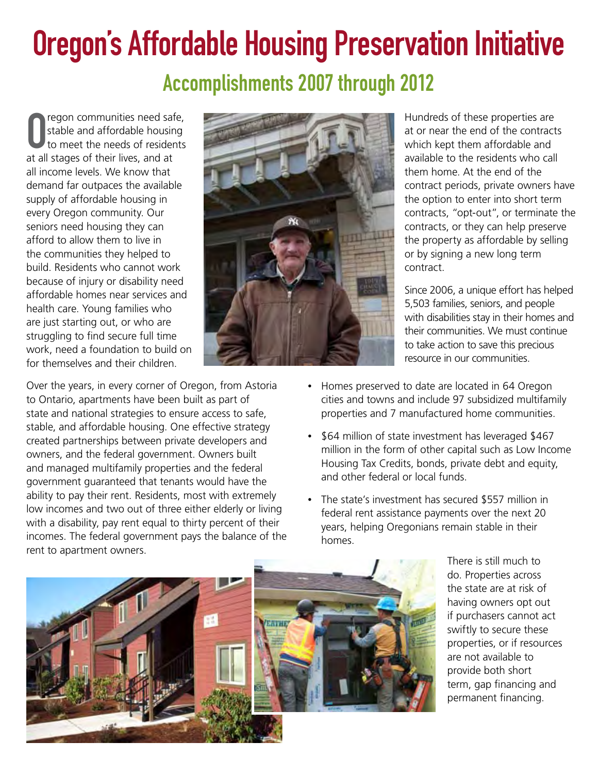## Oregon's Affordable Housing Preservation Initiative Accomplishments 2007 through 2012

**O** regon communities need saf<br>to stable and affordable housin<br>to meet the needs of resider<br>at all stages of their lives, and at regon communities need safe, stable and affordable housing to meet the needs of residents all income levels. We know that demand far outpaces the available supply of affordable housing in every Oregon community. Our seniors need housing they can afford to allow them to live in the communities they helped to build. Residents who cannot work because of injury or disability need affordable homes near services and health care. Young families who are just starting out, or who are struggling to find secure full time work, need a foundation to build on for themselves and their children.

Over the years, in every corner of Oregon, from Astoria to Ontario, apartments have been built as part of state and national strategies to ensure access to safe, stable, and affordable housing. One effective strategy created partnerships between private developers and owners, and the federal government. Owners built and managed multifamily properties and the federal government guaranteed that tenants would have the ability to pay their rent. Residents, most with extremely low incomes and two out of three either elderly or living with a disability, pay rent equal to thirty percent of their incomes. The federal government pays the balance of the rent to apartment owners.



Hundreds of these properties are at or near the end of the contracts which kept them affordable and available to the residents who call them home. At the end of the contract periods, private owners have the option to enter into short term contracts, "opt-out", or terminate the contracts, or they can help preserve the property as affordable by selling or by signing a new long term contract.

Since 2006, a unique effort has helped 5,503 families, seniors, and people with disabilities stay in their homes and their communities. We must continue to take action to save this precious resource in our communities.

- Homes preserved to date are located in 64 Oregon cities and towns and include 97 subsidized multifamily properties and 7 manufactured home communities.
- \$64 million of state investment has leveraged \$467 million in the form of other capital such as Low Income Housing Tax Credits, bonds, private debt and equity, and other federal or local funds.
- The state's investment has secured \$557 million in federal rent assistance payments over the next 20 years, helping Oregonians remain stable in their homes.



There is still much to do. Properties across the state are at risk of having owners opt out if purchasers cannot act swiftly to secure these properties, or if resources are not available to provide both short term, gap financing and permanent financing.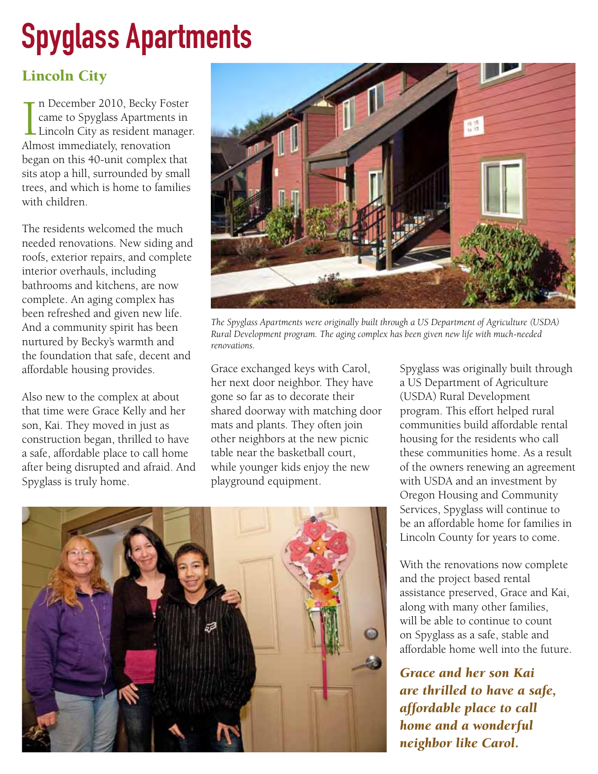## Spyglass Apartments

## Lincoln City

 $\prod_{\text{Alm}}$ n December 2010, Becky Foster came to Spyglass Apartments in Lincoln City as resident manager. Almost immediately, renovation began on this 40-unit complex that sits atop a hill, surrounded by small trees, and which is home to families with children.

The residents welcomed the much needed renovations. New siding and roofs, exterior repairs, and complete interior overhauls, including bathrooms and kitchens, are now complete. An aging complex has been refreshed and given new life. And a community spirit has been nurtured by Becky's warmth and the foundation that safe, decent and affordable housing provides.

Also new to the complex at about that time were Grace Kelly and her son, Kai. They moved in just as construction began, thrilled to have a safe, affordable place to call home after being disrupted and afraid. And Spyglass is truly home.



*The Spyglass Apartments were originally built through a US Department of Agriculture (USDA) Rural Development program. The aging complex has been given new life with much-needed renovations.*

Grace exchanged keys with Carol, her next door neighbor. They have gone so far as to decorate their shared doorway with matching door mats and plants. They often join other neighbors at the new picnic table near the basketball court, while younger kids enjoy the new playground equipment.



Spyglass was originally built through a US Department of Agriculture (USDA) Rural Development program. This effort helped rural communities build affordable rental housing for the residents who call these communities home. As a result of the owners renewing an agreement with USDA and an investment by Oregon Housing and Community Services, Spyglass will continue to be an affordable home for families in Lincoln County for years to come.

With the renovations now complete and the project based rental assistance preserved, Grace and Kai, along with many other families, will be able to continue to count on Spyglass as a safe, stable and affordable home well into the future.

*Grace and her son Kai are thrilled to have a safe, affordable place to call home and a wonderful neighbor like Carol.*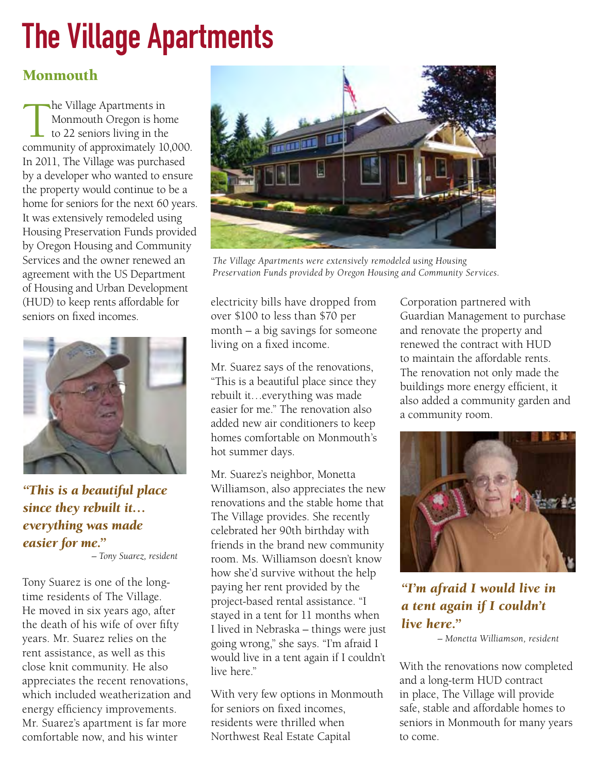## The Village Apartments

## Monmouth

The Village Apartments in<br>Monmouth Oregon is hor<br>to 22 seniors living in the<br>community of approximately 10 Monmouth Oregon is home to 22 seniors living in the community of approximately 10,000. In 2011, The Village was purchased by a developer who wanted to ensure the property would continue to be a home for seniors for the next 60 years. It was extensively remodeled using Housing Preservation Funds provided by Oregon Housing and Community Services and the owner renewed an agreement with the US Department of Housing and Urban Development (HUD) to keep rents affordable for seniors on fixed incomes.



*"This is a beautiful place since they rebuilt it… everything was made easier for me."*

*– Tony Suarez, resident*

Tony Suarez is one of the longtime residents of The Village. He moved in six years ago, after the death of his wife of over fifty years. Mr. Suarez relies on the rent assistance, as well as this close knit community. He also appreciates the recent renovations, which included weatherization and energy efficiency improvements. Mr. Suarez's apartment is far more comfortable now, and his winter



*The Village Apartments were extensively remodeled using Housing Preservation Funds provided by Oregon Housing and Community Services.*

electricity bills have dropped from over \$100 to less than \$70 per month – a big savings for someone living on a fixed income.

Mr. Suarez says of the renovations, "This is a beautiful place since they rebuilt it…everything was made easier for me." The renovation also added new air conditioners to keep homes comfortable on Monmouth's hot summer days.

Mr. Suarez's neighbor, Monetta Williamson, also appreciates the new renovations and the stable home that The Village provides. She recently celebrated her 90th birthday with friends in the brand new community room. Ms. Williamson doesn't know how she'd survive without the help paying her rent provided by the project-based rental assistance. "I stayed in a tent for 11 months when I lived in Nebraska – things were just going wrong," she says. "I'm afraid I would live in a tent again if I couldn't live here."

With very few options in Monmouth for seniors on fixed incomes, residents were thrilled when Northwest Real Estate Capital

Corporation partnered with Guardian Management to purchase and renovate the property and renewed the contract with HUD to maintain the affordable rents. The renovation not only made the buildings more energy efficient, it also added a community garden and a community room.



*"I'm afraid I would live in a tent again if I couldn't live here."* 

*– Monetta Williamson, resident*

With the renovations now completed and a long-term HUD contract in place, The Village will provide safe, stable and affordable homes to seniors in Monmouth for many years to come.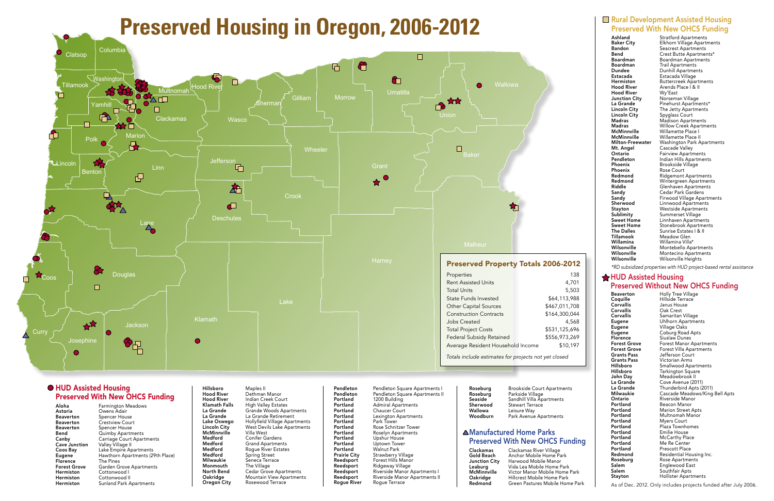## **HUD Assisted Housing** Preserved Without New OHCS Funding

**Beaverton** Holly Tree Village<br> **Coquille** Hillside Terrace Coquille Hillside Terrace Janus House **Corvallis** Oak Crest<br> **Corvallis** Samaritan Samaritan Village Eugene Uhlhorn Apartments Eugene Village Oaks<br>
Eugene Coburg Road Eugene Coburg Road Apts<br>
Florence Siuslaw Dunes Siuslaw Dunes **Forest Grove** Forest Manor Apartments<br>**Forest Grove** Forest Villa Apartments Forest Grove Forest Villa Apartments<br>
Grants Pass Jefferson Court Jefferson Court Grants Pass Victorian Arms<br>
Hillsboro Smallwood Apa Hillsboro Smallwood Apartments Tarkington Square John Day Meadowbrook II<br>
La Grande Cove Avenue (20 La Grande Cove Avenue (2011)<br>La Grande Thunderbird Apts (2014) Thunderbird Apts (2011) Milwaukie Cascade Meadows/King Bell Apts **Ontario** Riverside Manor<br>**Portland** Beacon Manor **Beacon Manor Portland** Marion Street Apts<br>**Portland** Multnomah Manor **Portland** Multnomah Manor<br>**Portland** Mvers Court **Myers Court Portland** Plaza Townhomes<br> **Portland** Emilie House **Portland** Emilie House<br> **Portland** McCarthy Pla McCarthy Place **Portland** Me Re Center<br> **Portland** Prescott Place **Portland** Prescott Place<br> **Redmond** Residential Ho Redmond Residential Housing Inc.<br>
Roseburg Rose Apartments Roseburg Rose Apartments<br>
Salem Englewood East Salem Englewood East<br>
Salem Southfair Apts **Salem** Southfair Apts<br> **Stayton** Hollister Apart Hollister Apartments

### **Rural Development Assisted Housing** Preserved With New OHCS Funding

**Hood River** Wy'East<br>**Junction City** Norsema **Lincoln City** Spyglass Court<br> **Madras** Madison Apartr Mt. Angel Cascade Valley<br>
Ontario Fairview Apartn Willamina Willamina Villa\*

Ashland Stratford Apartments<br>
Baker City Elkhorn Village Apartr **Baker City** Elkhorn Village Apartments<br> **Bandon** Seacrest Apartments **Bandon**<br> **Bend Bend**Crest Butte Apartments<br>
Crest Butte Apartmen Crest Butte Apartments\* **Boardman** Boardman Apartments<br>**Boardman** Trail Apartments **Boardman** Trail Apartments<br> **Dundee** Dunhill Apartment Dunhill Apartments Estacada Estacada Village **Hermiston** Buttercreek Apartments<br> **Hood River** Arends Place | & II Arends Place | & II **Junction City** Norseman Village<br>La Grande Pinehurst Apartme Pinehurst Apartments\* Lincoln City The Jetty Apartments<br>
Lincoln City Spyglass Court Madras Madison Apartments<br>
Madras Willow Creek Apartm **Madras Millow Creek Apartments<br>
McMinnville Millamette Place I McMinnville** Willamette Place I<br> **McMinnville** Willamette Place I Willamette Place II Milton-Freewater Washington Park Apartments Fairview Apartments Pendleton Indian Hills Apartments Phoenix Brookside Village<br>
Phoenix Rose Court Rose Court Redmond Ridgemont Apartments Redmond Wintergreen Apartments<br> **Riddle** Glenhaven Apartments Glenhaven Apartments Sandy Cedar Park Gardens<br>
Sandy Firwood Village Apar Sandy Firwood Village Apartments<br>
Sherwood Linnwood Apartments Linnwood Apartments Stayton Westside Apartments<br>
Sublimity Summerset Village **Sublimity** Summerset Village<br> **Sweet Home** Linnhaven Apartme Sweet Home Linnhaven Apartments<br>
Sweet Home Stonebrook Apartment Sweet Home Stonebrook Apartments<br>The Dalles Sunrise Estates | & II The Dalles Sunrise Estates I & II<br>
Tillamook Meadow Glen Meadow Glen Wilsonville Montebello Apartments<br>
Wilsonville Montecino Apartments Montecino Apartments Wilsonville Wilsonville Heights

*\*RD subsidized properties with HUD project-based rental assistance*

## ▲Manufactured Home Parks Preserved With New OHCS Funding

### **O HUD Assisted Housing** Preserved With New OHCS Funding

Astoria **Owens Adair**<br>Beaverton Spencer Hous

## **Preserved Housing in Oregon, 2006-2012**



Aloha Farmington Meadows<br>Astoria Owens Adair **Beaverton** Spencer House<br>**Beaverton** Crestview Cour **Beaverton** Crestview Court<br> **Beaverton** Spencer House **Beaverton** Spencer House<br>**Bend** Quimby Apartm Quimby Apartments **Canby** Carriage Court Apartments<br> **Cave Junction** Valley Village II Valley Village II Coos Bay Lake Empire Apartments Eugene Hawthorn Apartments (29th Place)<br>
Florence The Pines The Pines Forest Grove Garden Grove Apartments Hermiston Cottonwood I Hermiston Cottonwood II Hermiston Sunland Park Apartments

Hillsboro Maples II<br> **Hood River** Dethman **Hood River** Dethman Manor<br>**Hood River** Indian Creek Cor McMinnville<br>Medford Medford Conifer Gardens<br>
Medford Grand Apartmen Medford Spring Street<br>
Milwaukie Seneca Terrac Monmouth<br>North Bend

Hood River Indian Creek Court<br>Klamath Falls High Valley Estates Klamath Falls High Valley Estates<br>La Grande Grande Woods Apa La Grande Grande Woods Apartments<br>
La Grande La Grande Retirement La Grande Retirement Lake Oswego Hollyfield Village Apartments<br>
Lincoln City Vest Devils Lake Apartments West Devils Lake Apartments<br>Villa West Medford Grand Apartments<br> **Medford** Roque River Estate Medford Rogue River Estates<br>
Medford Spring Street Seneca Terrace<br>The Village North Bend Cedar Grove Apartments<br>
Oakridge Mountain View Apartmen **Oakridge Mountain View Apartments<br>
Oregon City** Rosewood Terrace Rosewood Terrace

**Pendleton** Pendleton Square Apartments I<br>**Pendleton** Pendleton Square Apartments II **Portland** Admiral Apartments<br>**Portland** Chaucer Court **Portland** Chaucer Court<br>**Portland** Lexington Apar **Portland** Park Tower<br>**Portland** Rose Schnit **Portland** Roselyn Apartments<br>**Portland** Upshur House **Portland** Upshur House<br>**Portland** Uptown Tower **Portland** Uptown Tower<br>**Portland** Walnut Park **Portland** Walnut Park<br>**Prairie City** Strawberry V **Prairie City** Strawberry Village<br> **Reedsport** Forest Hills Manor Reedsport Forest Hills Manor<br>
Reedsport Ridgeway Village

**Pendleton** Pendleton Square Apartments II<br>**Portland** 1200 Building 1200 Building **Portland** Lexington Apartments<br>**Portland** Park Tower **Portland** Rose Schnitzer Tower<br>**Portland** Roselyn Apartments Ridgeway Village Reedsport Riverside Manor Apartments Reedsport Riverside Manor Apartments II<br>Roque River Roque Terrace Rogue Terrace

Roseburg Brookside Court Apartments<br>
Roseburg Parkside Village Roseburg Parkside Village<br>Seaside Sandhill Villa Ap Sandhill Villa Apartments Sherwood Stewart Terrace<br>
Wallowa Leisure Way Wallowa Leisure Way<br>Woodburn Park Avenue Park Avenue Apartments

As of Dec. 2012. Only includes projects funded after July 2006.

Clackamas Clackamas River Village Anchor Mobile Home Park Junction City Harwood Mobile Manor Leaburg Vida Lea Mobile Home Park<br>
McMinnville Victor Manor Mobile Home I Victor Manor Mobile Home Park Oakridge Hillcrest Mobile Home Park Redmond Green Pastures Mobile Home Park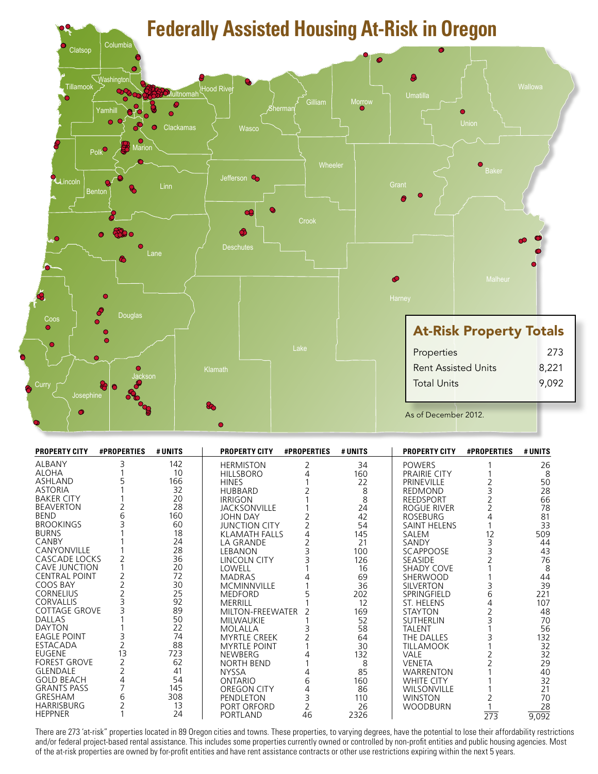

| <b>PROPERTY CITY</b> | <b>#PROPERTIES</b> | # UNITS | <b>PROPERTY CITY</b> | <b>#PROPERTIES</b> | # UNITS | <b>PROPERTY CITY</b> | <b>#PROPERTIES</b> | # UNITS |
|----------------------|--------------------|---------|----------------------|--------------------|---------|----------------------|--------------------|---------|
| <b>ALBANY</b>        |                    | 142     | <b>HERMISTON</b>     |                    | 34      | <b>POWERS</b>        |                    | 26      |
| <b>ALOHA</b>         |                    | 10      | <b>HILLSBORO</b>     |                    | 160     | <b>PRAIRIE CITY</b>  |                    | 8       |
| <b>ASHLAND</b>       |                    | 166     | <b>HINES</b>         |                    | 22      | PRINEVILLE           |                    | 50      |
| <b>ASTORIA</b>       |                    | 32      | <b>HUBBARD</b>       |                    | 8       | <b>REDMOND</b>       |                    | 28      |
| <b>BAKER CITY</b>    |                    | 20      | <b>IRRIGON</b>       |                    | 8       | <b>REEDSPORT</b>     |                    | 66      |
| <b>BEAVERTON</b>     |                    | 28      | <b>JACKSONVILLE</b>  |                    | 24      | ROGUE RIVER          |                    | 78      |
| <b>BEND</b>          |                    | 160     | JOHN DAY             |                    | 42      | <b>ROSEBURG</b>      |                    | 81      |
| <b>BROOKINGS</b>     |                    | 60      | <b>JUNCTION CITY</b> |                    | 54      | <b>SAINT HELENS</b>  |                    | 33      |
| <b>BURNS</b>         |                    | 18      | <b>KLAMATH FALLS</b> |                    | 145     | SALEM                | 12                 | 509     |
| CANBY                |                    | 24      | LA GRANDE            |                    | 21      | SANDY                |                    | 44      |
| CANYONVILLE          |                    | 28      | <b>LEBANON</b>       |                    | 100     | SCAPPOOSE            |                    | 43      |
| CASCADE LOCKS        |                    | 36      | LINCOLN CITY         |                    | 126     | <b>SEASIDE</b>       |                    | 76      |
| <b>CAVE JUNCTION</b> |                    | 20      | LOWELL               |                    | 16      | SHADY COVE           |                    | 8       |
| <b>CENTRAL POINT</b> |                    | 72      | <b>MADRAS</b>        |                    | 69      | SHERWOOD             |                    | 44      |
| COOS BAY             |                    | 30      | <b>MCMINNVILLE</b>   |                    | 36      | <b>SILVERTON</b>     |                    | 39      |
| <b>CORNELIUS</b>     |                    | 25      | <b>MEDFORD</b>       |                    | 202     | SPRINGFIELD          | 6                  | 221     |
| <b>CORVALLIS</b>     |                    | 92      | MERRILL              |                    | 12      | ST. HELENS           |                    | 107     |
| <b>COTTAGE GROVE</b> |                    | 89      | MILTON-FREEWATER     |                    | 169     | <b>STAYTON</b>       |                    | 48      |
| <b>DALLAS</b>        |                    | 50      | <b>MILWAUKIE</b>     |                    | 52      | <b>SUTHERLIN</b>     |                    | 70      |
| <b>DAYTON</b>        |                    | 22      | <b>MOLALLA</b>       |                    | 58      | <b>TALENT</b>        |                    | 56      |
| <b>EAGLE POINT</b>   |                    | 74      | <b>MYRTLE CREEK</b>  |                    | 64      | THE DALLES           |                    | 132     |
| <b>ESTACADA</b>      |                    | 88      | <b>MYRTLE POINT</b>  |                    | 30      | <b>TILLAMOOK</b>     |                    | 32      |
| <b>EUGENE</b>        | 13                 | 723     | <b>NEWBERG</b>       |                    | 132     | VALE                 |                    | 32      |
| <b>FOREST GROVE</b>  |                    | 62      | <b>NORTH BEND</b>    |                    | 8       | <b>VENETA</b>        |                    | 29      |
| <b>GLENDALE</b>      |                    | 41      | <b>NYSSA</b>         |                    | 85      | <b>WARRENTON</b>     |                    | 40      |
| <b>GOLD BEACH</b>    |                    | 54      | <b>ONTARIO</b>       | 6                  | 160     | <b>WHITE CITY</b>    |                    | 32      |
| <b>GRANTS PASS</b>   |                    | 145     | OREGON CITY          |                    | 86      | <b>WILSONVILLE</b>   |                    | 21      |
| <b>GRESHAM</b>       |                    | 308     | PENDLETON            |                    | 110     | <b>WINSTON</b>       |                    | 70      |
| <b>HARRISBURG</b>    |                    | 13      | PORT ORFORD          |                    | 26      | <b>WOODBURN</b>      |                    | 28      |
| <b>HEPPNER</b>       |                    | 24      | PORTLAND             | 46                 | 2326    |                      | $\overline{273}$   | 9,092   |

There are 273 'at-risk" properties located in 89 Oregon cities and towns. These properties, to varying degrees, have the potential to lose their affordability restrictions and/or federal project-based rental assistance. This includes some properties currently owned or controlled by non-profit entities and public housing agencies. Most of the at-risk properties are owned by for-profit entities and have rent assistance contracts or other use restrictions expiring within the next 5 years.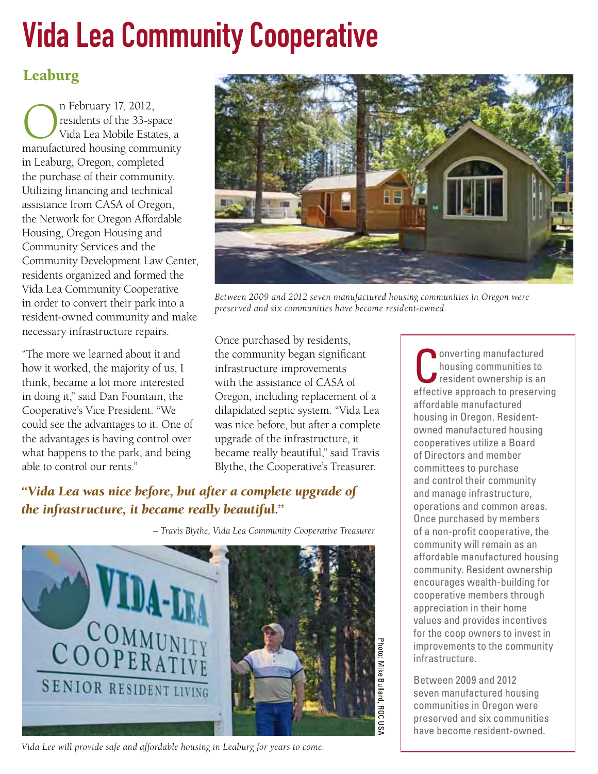# Vida Lea Community Cooperative

## Leaburg

n February 17, 2012,<br>residents of the 33-sp<br>Vida Lea Mobile Estat residents of the 33-space Vida Lea Mobile Estates, a manufactured housing community in Leaburg, Oregon, completed the purchase of their community. Utilizing financing and technical assistance from CASA of Oregon, the Network for Oregon Affordable Housing, Oregon Housing and Community Services and the Community Development Law Center, residents organized and formed the Vida Lea Community Cooperative in order to convert their park into a resident-owned community and make necessary infrastructure repairs.

"The more we learned about it and how it worked, the majority of us, I think, became a lot more interested in doing it," said Dan Fountain, the Cooperative's Vice President. "We could see the advantages to it. One of the advantages is having control over what happens to the park, and being able to control our rents."



*Between 2009 and 2012 seven manufactured housing communities in Oregon were preserved and six communities have become resident-owned.*

Once purchased by residents, the community began significant infrastructure improvements with the assistance of CASA of Oregon, including replacement of a dilapidated septic system. "Vida Lea was nice before, but after a complete upgrade of the infrastructure, it became really beautiful," said Travis Blythe, the Cooperative's Treasurer.

## *"Vida Lea was nice before, but after a complete upgrade of the infrastructure, it became really beautiful."*

*– Travis Blythe, Vida Lea Community Cooperative Treasurer* 



*Vida Lee will provide safe and affordable housing in Leaburg for years to come.*

onverting manufactured housing communities to resident ownership is an effective approach to preserving affordable manufactured housing in Oregon. Residentowned manufactured housing cooperatives utilize a Board of Directors and member committees to purchase and control their community and manage infrastructure, operations and common areas. Once purchased by members of a non-profit cooperative, the community will remain as an affordable manufactured housing community. Resident ownership encourages wealth-building for cooperative members through appreciation in their home values and provides incentives for the coop owners to invest in improvements to the community infrastructure.

Between 2009 and 2012 seven manufactured housing communities in Oregon were preserved and six communities have become resident-owned.